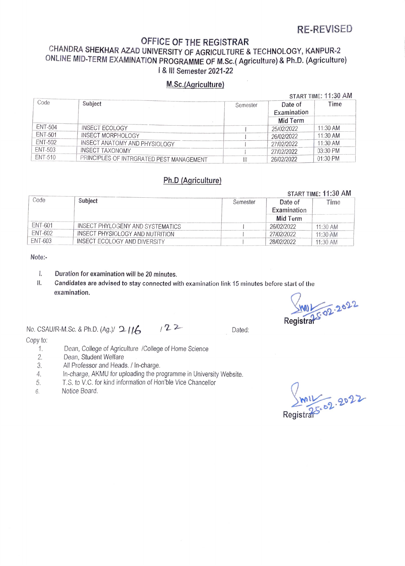## RE-REVISED

 $\frac{1}{2}$  START TIME: 11:30 AM

# OFFICE OF THE REGISTRAR<br>CHANDRA SHEKHAR AZAD UNIVERSITY OF AGRICULTURE & TECHNOLOGY, KANPUR-2 ONLINE MID-TERM EXAMINATION PROGRAMME OF M.Sc.( Agriculture) & Ph.D. (Agriculture) | & III Semester 2021-22

### M.Sc.(Agriculture)

| Code           | Subject                                  | Semester | Date of<br>Examination | Time       |
|----------------|------------------------------------------|----------|------------------------|------------|
|                |                                          |          | Mid Term               |            |
| ENT-504        | <b>INSECT ECOLOGY</b>                    |          | 25/02/2022             | 11:30 AM   |
| <b>ENT-501</b> | INSECT MORPHOLOGY                        |          | 26/02/2022             | 11:30 AM   |
| ENT-502        | INSECT ANATOMY AND PHYSIOLOGY            |          | 27/02/2022             | $11:30$ AM |
| ENT-503        | <b>INSECT TAXONOMY</b>                   |          | 27/02/2022             | $03:30$ PM |
| ENT-510        | PRINCIPLES OF INTRGRATED PEST MANAGEMENT |          | 26/02/2022             | $01:30$ PM |

### Ph.D (Agriculture)

|         |                                  |          | START TIME: 11:30 AM   |            |  |
|---------|----------------------------------|----------|------------------------|------------|--|
| Code    | Subject                          | Semester | Date of<br>Examination | Time       |  |
|         |                                  |          | Mid Term               |            |  |
| ENT-601 | INSECT PHYLOGENY AND SYSTEMATICS |          | 26/02/2022             | 11:30 AM   |  |
| ENT-602 | INSECT PHYSIOLOGY AND NUTRITION  |          | 27/02/2022             | 11:30 AM   |  |
| ENT-603 | INSECT ECOLOGY AND DIVERSITY     |          | 28/02/2022             | $11:30$ AM |  |

### Note:

- $\mathbf{l}$ . Duration for examination will be 20 minutes.
- I. Candidates are advised to stay connected with examination link 15 minutes before start of the examination.

F02.2022

No. CSAU/R-M. Sc. & Ph.D. (Ag.)/  $21/6$  /  $2^2$  Dated: Copy to:

- Dean, College of Agriculture /College of Home Science 1.
- Dean, Student Welfare 2.
- All Professor and Heads. / In-charge. 3.
- In-charge, AKMU for uploading the programme in University Website. A.
- T.S. to V.C. for kind information of Hon'ble Vice Chancellor 5.
- Notice Board.  $6$

Registrar  $11/2022$